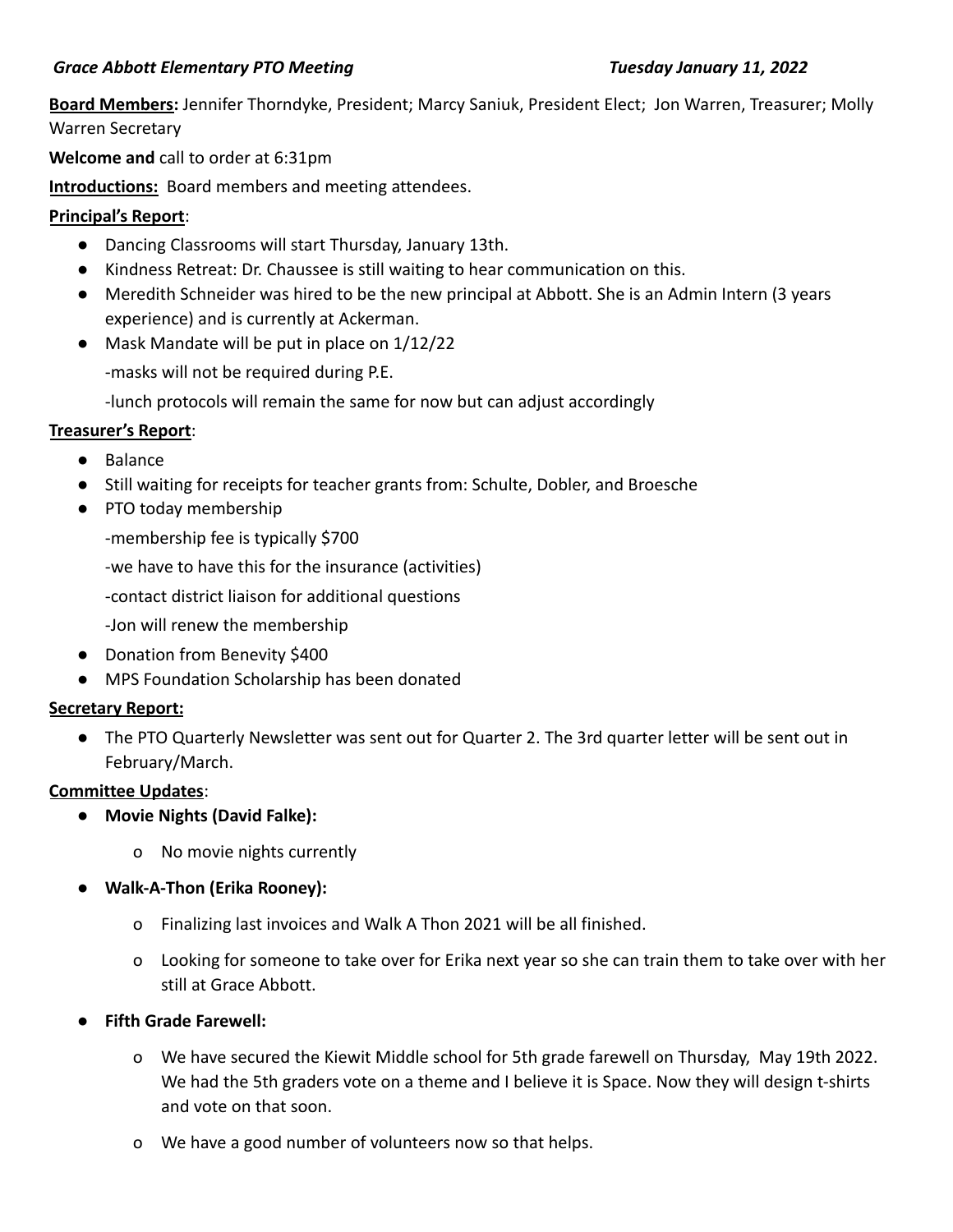## *Grace Abbott Elementary PTO Meeting Tuesday January 11, 2022*

**Board Members:** Jennifer Thorndyke, President; Marcy Saniuk, President Elect; Jon Warren, Treasurer; Molly Warren Secretary

**Welcome and** call to order at 6:31pm

**Introductions:** Board members and meeting attendees.

## **Principal's Report**:

- Dancing Classrooms will start Thursday, January 13th.
- Kindness Retreat: Dr. Chaussee is still waiting to hear communication on this.
- Meredith Schneider was hired to be the new principal at Abbott. She is an Admin Intern (3 years experience) and is currently at Ackerman.
- Mask Mandate will be put in place on 1/12/22

-masks will not be required during P.E.

-lunch protocols will remain the same for now but can adjust accordingly

## **Treasurer's Report**:

- Balance
- Still waiting for receipts for teacher grants from: Schulte, Dobler, and Broesche
- PTO today membership

-membership fee is typically \$700

-we have to have this for the insurance (activities)

-contact district liaison for additional questions

-Jon will renew the membership

- Donation from Benevity \$400
- MPS Foundation Scholarship has been donated

## **Secretary Report:**

● The PTO Quarterly Newsletter was sent out for Quarter 2. The 3rd quarter letter will be sent out in February/March.

## **Committee Updates**:

- **Movie Nights (David Falke):**
	- o No movie nights currently
- **Walk-A-Thon (Erika Rooney):**
	- o Finalizing last invoices and Walk A Thon 2021 will be all finished.
	- o Looking for someone to take over for Erika next year so she can train them to take over with her still at Grace Abbott.
- **Fifth Grade Farewell:** 
	- o We have secured the Kiewit Middle school for 5th grade farewell on Thursday, May 19th 2022. We had the 5th graders vote on a theme and I believe it is Space. Now they will design t-shirts and vote on that soon.
	- o We have a good number of volunteers now so that helps.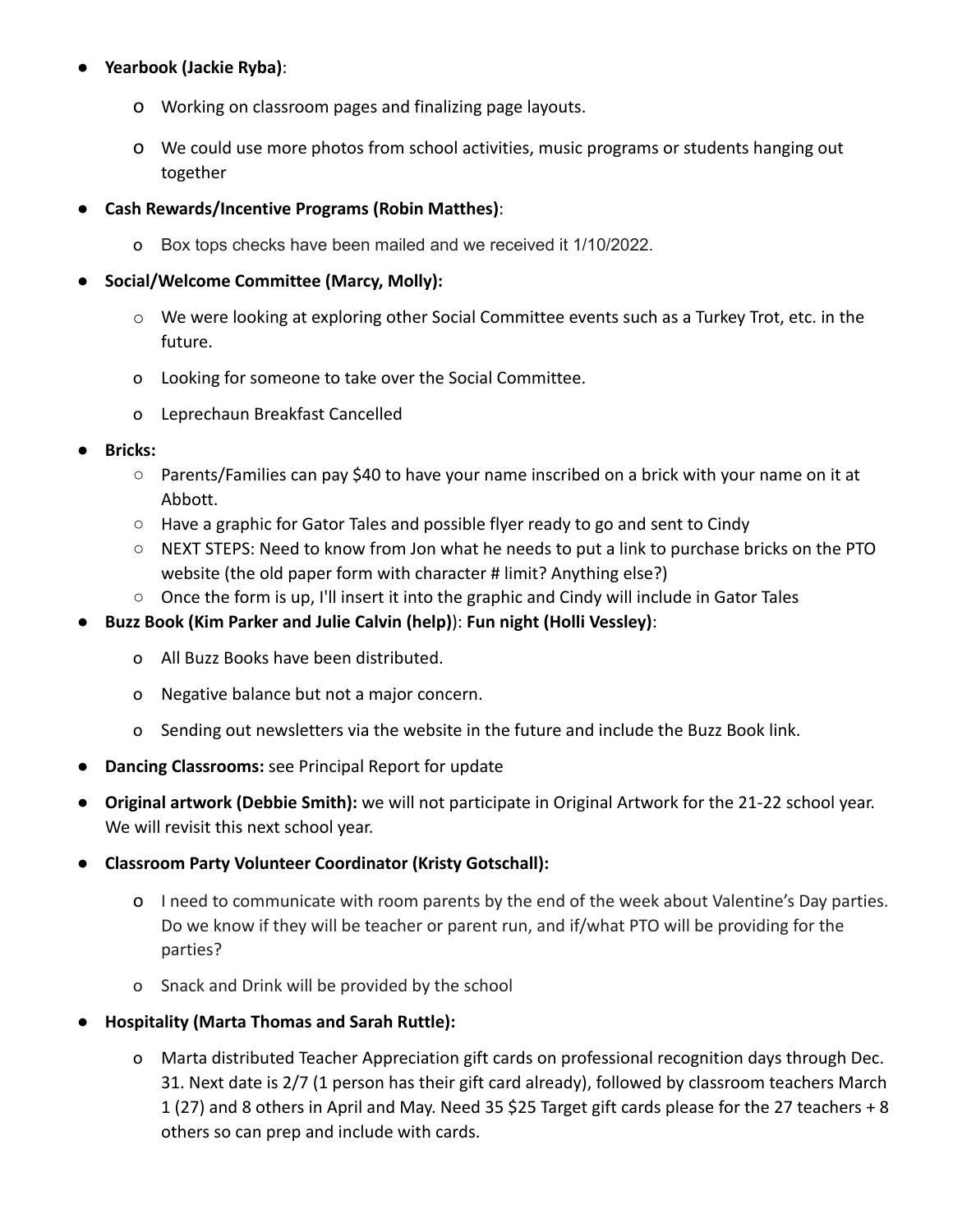# ● **Yearbook (Jackie Ryba)**:

- o Working on classroom pages and finalizing page layouts.
- o We could use more photos from school activities, music programs or students hanging out together
- **Cash Rewards/Incentive Programs (Robin Matthes)**:
	- o Box tops checks have been mailed and we received it 1/10/2022.

# ● **Social/Welcome Committee (Marcy, Molly):**

- $\circ$  We were looking at exploring other Social Committee events such as a Turkey Trot, etc. in the future.
- o Looking for someone to take over the Social Committee.
- o Leprechaun Breakfast Cancelled
- **● Bricks:**
	- **○** Parents/Families can pay \$40 to have your name inscribed on a brick with your name on it at Abbott.
	- $\circ$  Have a graphic for Gator Tales and possible flyer ready to go and sent to Cindy
	- NEXT STEPS: Need to know from Jon what he needs to put a link to purchase bricks on the PTO website (the old paper form with character # limit? Anything else?)
	- Once the form is up, I'll insert it into the graphic and Cindy will include in Gator Tales
- **Buzz Book (Kim Parker and Julie Calvin (help)**): **Fun night (Holli Vessley)**:
	- o All Buzz Books have been distributed.
	- o Negative balance but not a major concern.
	- o Sending out newsletters via the website in the future and include the Buzz Book link.
- **Dancing Classrooms:** see Principal Report for update
- **Original artwork (Debbie Smith):** we will not participate in Original Artwork for the 21-22 school year. We will revisit this next school year.
- **Classroom Party Volunteer Coordinator (Kristy Gotschall):**
	- o I need to communicate with room parents by the end of the week about Valentine's Day parties. Do we know if they will be teacher or parent run, and if/what PTO will be providing for the parties?
	- o Snack and Drink will be provided by the school
- **Hospitality (Marta Thomas and Sarah Ruttle):**
	- o Marta distributed Teacher Appreciation gift cards on professional recognition days through Dec. 31. Next date is 2/7 (1 person has their gift card already), followed by classroom teachers March 1 (27) and 8 others in April and May. Need 35 \$25 Target gift cards please for the 27 teachers + 8 others so can prep and include with cards.